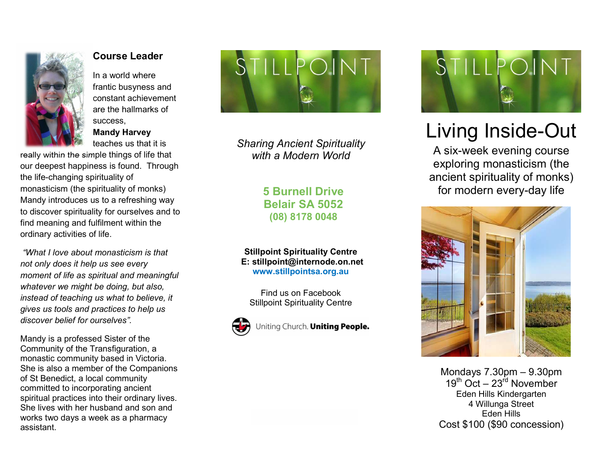

## Course Leader

In a world where frantic busyness and constant achievement are the hallmarks of success, Mandy Harvey

teaches us that it is really within the simple things of life that our deepest happiness is found. Through the life-changing spirituality of monasticism (the spirituality of monks) Mandy introduces us to a refreshing way to discover spirituality for ourselves and to find meaning and fulfilment within the ordinary activities of life.

 "What I love about monasticism is that not only does it help us see every moment of life as spiritual and meaningful whatever we might be doing, but also, instead of teaching us what to believe, it gives us tools and practices to help us discover belief for ourselves".

Mandy is a professed Sister of the Community of the Transfiguration, a monastic community based in Victoria. She is also a member of the Companions of St Benedict, a local community committed to incorporating ancient spiritual practices into their ordinary lives. She lives with her husband and son and works two days a week as a pharmacy assistant.



Sharing Ancient Spirituality with a Modern World

> 5 Burnell Drive Belair SA 5052 (08) 8178 0048

Stillpoint Spirituality Centre E: stillpoint@internode.on.net www.stillpointsa.org.au

Find us on Facebook Stillpoint Spirituality Centre



Uniting Church. Uniting People.



## Living Inside-Out

A six-week evening course exploring monasticism (the ancient spirituality of monks) for modern every-day life



Mondays 7.30pm – 9.30pm  $19<sup>th</sup>$  Oct –  $23<sup>rd</sup>$  November Eden Hills Kindergarten 4 Willunga Street Eden Hills Cost \$100 (\$90 concession)